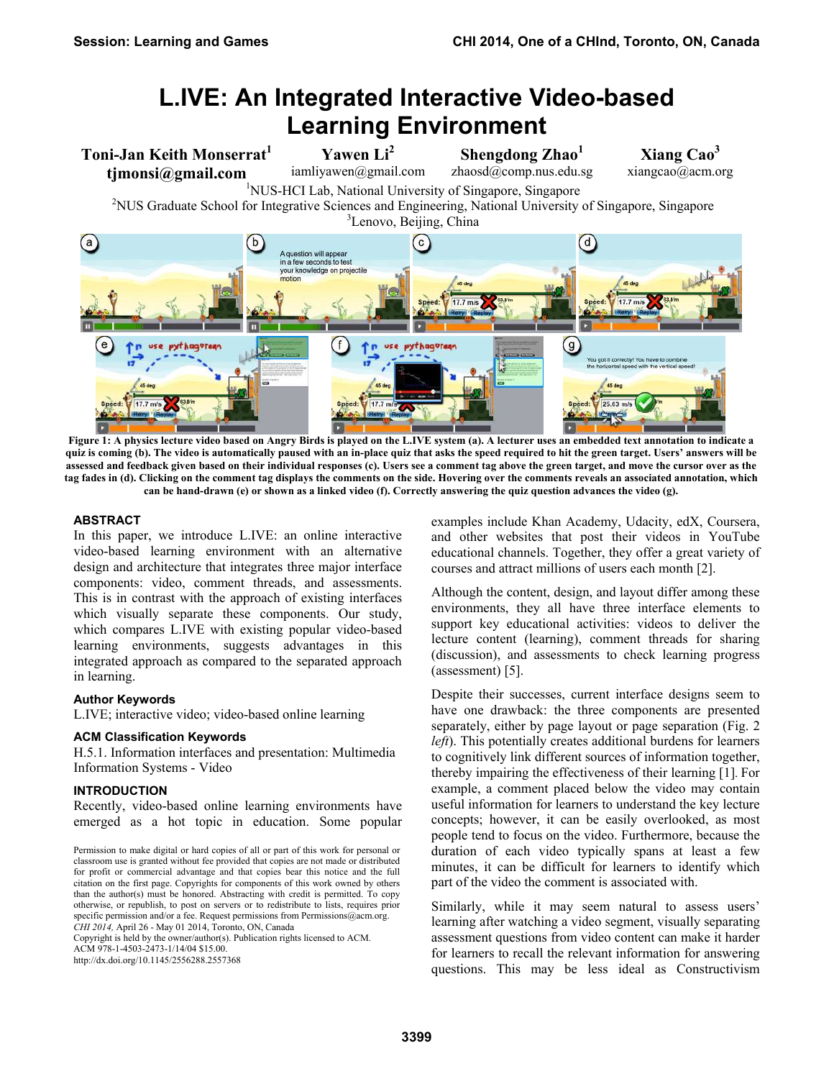# **L.IVE: An Integrated Interactive Video-based Learning Environment**

**Toni-Jan Keith Monserrat<sup>1</sup> tjmonsi@gmail.com**

**Yawen Li<sup>2</sup>** iamliyawen@gmail.com

**Shengdong Zhao<sup>1</sup>** zhaosd@comp.nus.edu.sg **Xiang Cao3**

iamliyawen@gmail.com zhaosd@comp.nus.edu.sg xiangcao@acm.org <sup>1</sup>NUS-HCI Lab, National University of Singapore, Singapore<sup>2</sup>NUS-2NUS Graduate School for Integrative Sciences and Engineering, National University <sup>2</sup>NUS Graduate School for Integrative Sciences and Engineering, National University of Singapore, Singapore



**Figure 1: A physics lecture video based on Angry Birds is played on the L.IVE system (a). A lecturer uses an embedded text annotation to indicate a quiz is coming (b). The video is automatically paused with an in-place quiz that asks the speed required to hit the green target. Users' answers will be assessed and feedback given based on their individual responses (c). Users see a comment tag above the green target, and move the cursor over as the tag fades in (d). Clicking on the comment tag displays the comments on the side. Hovering over the comments reveals an associated annotation, which can be hand-drawn (e) or shown as a linked video (f). Correctly answering the quiz question advances the video (g).** 

#### **ABSTRACT**

In this paper, we introduce L.IVE: an online interactive video-based learning environment with an alternative design and architecture that integrates three major interface components: video, comment threads, and assessments. This is in contrast with the approach of existing interfaces which visually separate these components. Our study, which compares L.IVE with existing popular video-based learning environments, suggests advantages in this integrated approach as compared to the separated approach in learning.

## **Author Keywords**

L.IVE; interactive video; video-based online learning

### **ACM Classification Keywords**

H.5.1. Information interfaces and presentation: Multimedia Information Systems - Video

## **INTRODUCTION**

Recently, video-based online learning environments have emerged as a hot topic in education. Some popular

Copyright is held by the owner/author(s). Publication rights licensed to ACM. ACM 978-1-4503-2473-1/14/04 \$15.00.

http://dx.doi.org/10.1145/2556288.2557368

examples include Khan Academy, Udacity, edX, Coursera, and other websites that post their videos in YouTube educational channels. Together, they offer a great variety of courses and attract millions of users each month [2].

Although the content, design, and layout differ among these environments, they all have three interface elements to support key educational activities: videos to deliver the lecture content (learning), comment threads for sharing (discussion), and assessments to check learning progress (assessment) [5].

Despite their successes, current interface designs seem to have one drawback: the three components are presented separately, either by page layout or page separation (Fig. 2 *left*). This potentially creates additional burdens for learners to cognitively link different sources of information together, thereby impairing the effectiveness of their learning [1]. For example, a comment placed below the video may contain useful information for learners to understand the key lecture concepts; however, it can be easily overlooked, as most people tend to focus on the video. Furthermore, because the duration of each video typically spans at least a few minutes, it can be difficult for learners to identify which part of the video the comment is associated with.

Similarly, while it may seem natural to assess users' learning after watching a video segment, visually separating assessment questions from video content can make it harder for learners to recall the relevant information for answering questions. This may be less ideal as Constructivism

Permission to make digital or hard copies of all or part of this work for personal or classroom use is granted without fee provided that copies are not made or distributed for profit or commercial advantage and that copies bear this notice and the full citation on the first page. Copyrights for components of this work owned by others than the author(s) must be honored. Abstracting with credit is permitted. To copy otherwise, or republish, to post on servers or to redistribute to lists, requires prior specific permission and/or a fee. Request permissions from Permissions@acm.org. *CHI 2014,* April 26 - May 01 2014, Toronto, ON, Canada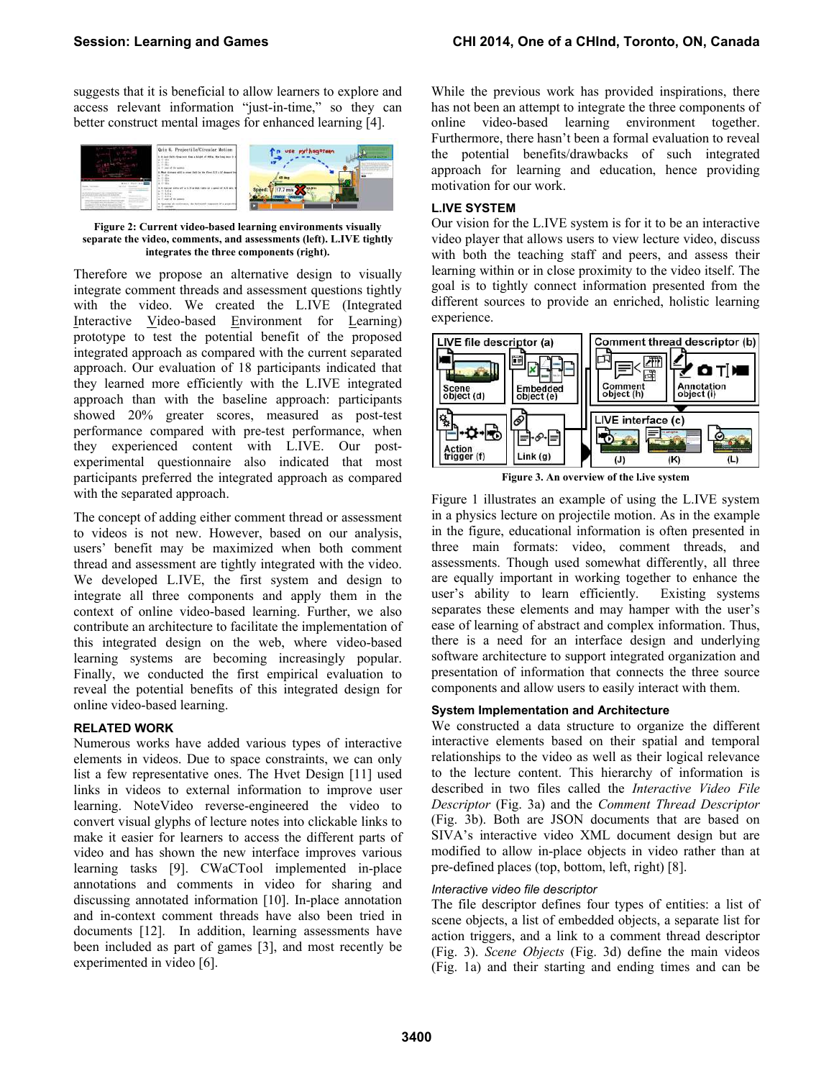suggests that it is beneficial to allow learners to explore and access relevant information "just-in-time," so they can better construct mental images for enhanced learning [4].



**Figure 2: Current video-based learning environments visually separate the video, comments, and assessments (left). L.IVE tightly integrates the three components (right).**

Therefore we propose an alternative design to visually integrate comment threads and assessment questions tightly with the video. We created the L.IVE (Integrated Interactive Video-based Environment for Learning) prototype to test the potential benefit of the proposed integrated approach as compared with the current separated approach. Our evaluation of 18 participants indicated that they learned more efficiently with the L.IVE integrated approach than with the baseline approach: participants showed 20% greater scores, measured as post-test performance compared with pre-test performance, when they experienced content with L.IVE. Our postexperimental questionnaire also indicated that most participants preferred the integrated approach as compared with the separated approach.

The concept of adding either comment thread or assessment to videos is not new. However, based on our analysis, users' benefit may be maximized when both comment thread and assessment are tightly integrated with the video. We developed L.IVE, the first system and design to integrate all three components and apply them in the context of online video-based learning. Further, we also contribute an architecture to facilitate the implementation of this integrated design on the web, where video-based learning systems are becoming increasingly popular. Finally, we conducted the first empirical evaluation to reveal the potential benefits of this integrated design for online video-based learning.

## **RELATED WORK**

Numerous works have added various types of interactive elements in videos. Due to space constraints, we can only list a few representative ones. The Hvet Design [11] used links in videos to external information to improve user learning. NoteVideo reverse-engineered the video to convert visual glyphs of lecture notes into clickable links to make it easier for learners to access the different parts of video and has shown the new interface improves various learning tasks [9]. CWaCTool implemented in-place annotations and comments in video for sharing and discussing annotated information [10]. In-place annotation and in-context comment threads have also been tried in documents [12]. In addition, learning assessments have been included as part of games [3], and most recently be experimented in video [6].

While the previous work has provided inspirations, there has not been an attempt to integrate the three components of online video-based learning environment together. Furthermore, there hasn't been a formal evaluation to reveal the potential benefits/drawbacks of such integrated approach for learning and education, hence providing motivation for our work.

#### **L.IVE SYSTEM**

Our vision for the L.IVE system is for it to be an interactive video player that allows users to view lecture video, discuss with both the teaching staff and peers, and assess their learning within or in close proximity to the video itself. The goal is to tightly connect information presented from the different sources to provide an enriched, holistic learning experience.



**Figure 3. An overview of the l.ive system** 

Figure 1 illustrates an example of using the L.IVE system in a physics lecture on projectile motion. As in the example in the figure, educational information is often presented in three main formats: video, comment threads, and assessments. Though used somewhat differently, all three are equally important in working together to enhance the user's ability to learn efficiently. Existing systems separates these elements and may hamper with the user's ease of learning of abstract and complex information. Thus, there is a need for an interface design and underlying software architecture to support integrated organization and presentation of information that connects the three source components and allow users to easily interact with them.

#### **System Implementation and Architecture**

We constructed a data structure to organize the different interactive elements based on their spatial and temporal relationships to the video as well as their logical relevance to the lecture content. This hierarchy of information is described in two files called the *Interactive Video File Descriptor* (Fig. 3a) and the *Comment Thread Descriptor* (Fig. 3b). Both are JSON documents that are based on SIVA's interactive video XML document design but are modified to allow in-place objects in video rather than at pre-defined places (top, bottom, left, right) [8].

#### *Interactive video file descriptor*

The file descriptor defines four types of entities: a list of scene objects, a list of embedded objects, a separate list for action triggers, and a link to a comment thread descriptor (Fig. 3). *Scene Objects* (Fig. 3d) define the main videos (Fig. 1a) and their starting and ending times and can be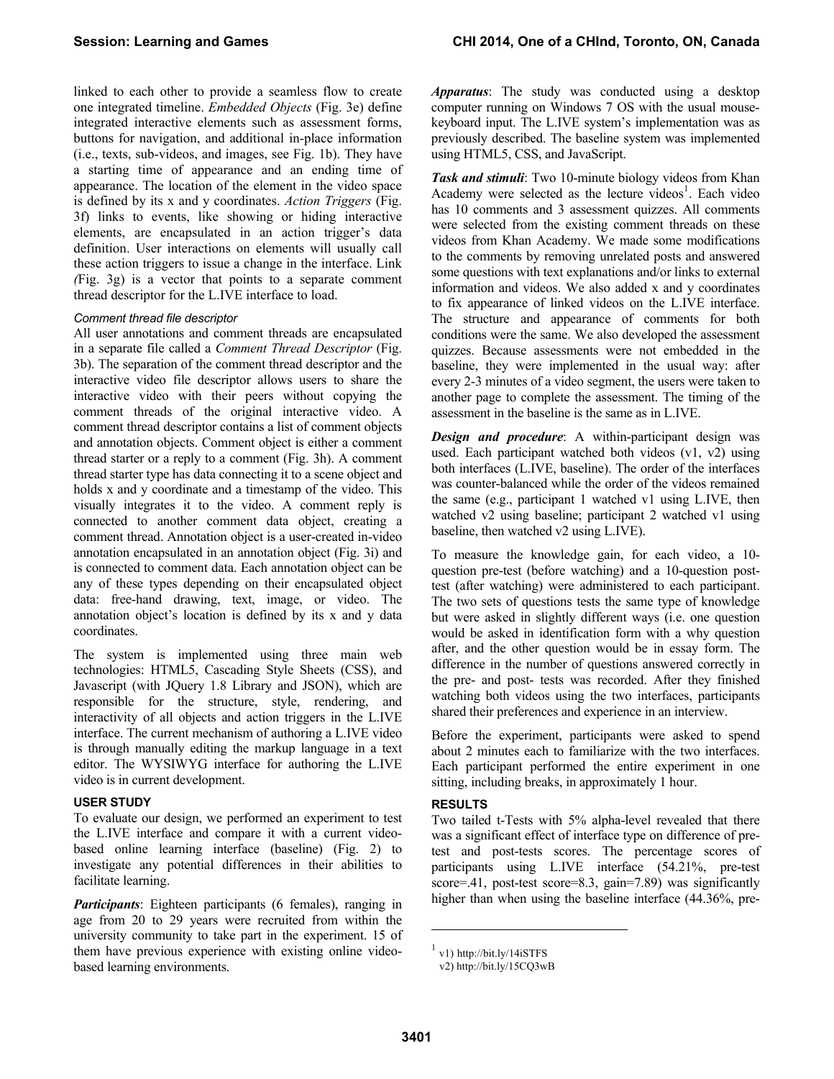linked to each other to provide a seamless flow to create one integrated timeline. *Embedded Objects* (Fig. 3e) define integrated interactive elements such as assessment forms, buttons for navigation, and additional in-place information (i.e., texts, sub-videos, and images, see Fig. 1b). They have a starting time of appearance and an ending time of appearance. The location of the element in the video space is defined by its x and y coordinates. *Action Triggers* (Fig. 3f) links to events, like showing or hiding interactive elements, are encapsulated in an action trigger's data definition. User interactions on elements will usually call these action triggers to issue a change in the interface. Link *(*Fig. 3g) is a vector that points to a separate comment thread descriptor for the L.IVE interface to load.

#### *Comment thread file descriptor*

All user annotations and comment threads are encapsulated in a separate file called a *Comment Thread Descriptor* (Fig. 3b). The separation of the comment thread descriptor and the interactive video file descriptor allows users to share the interactive video with their peers without copying the comment threads of the original interactive video. A comment thread descriptor contains a list of comment objects and annotation objects. Comment object is either a comment thread starter or a reply to a comment (Fig. 3h). A comment thread starter type has data connecting it to a scene object and holds x and y coordinate and a timestamp of the video. This visually integrates it to the video. A comment reply is connected to another comment data object, creating a comment thread. Annotation object is a user-created in-video annotation encapsulated in an annotation object (Fig. 3i) and is connected to comment data. Each annotation object can be any of these types depending on their encapsulated object data: free-hand drawing, text, image, or video. The annotation object's location is defined by its x and y data coordinates.

The system is implemented using three main web technologies: HTML5, Cascading Style Sheets (CSS), and Javascript (with JQuery 1.8 Library and JSON), which are responsible for the structure, style, rendering, and interactivity of all objects and action triggers in the L.IVE interface. The current mechanism of authoring a L.IVE video is through manually editing the markup language in a text editor. The WYSIWYG interface for authoring the L.IVE video is in current development.

#### **USER STUDY**

To evaluate our design, we performed an experiment to test the L.IVE interface and compare it with a current videobased online learning interface (baseline) (Fig. 2) to investigate any potential differences in their abilities to facilitate learning.

*Participants*: Eighteen participants (6 females), ranging in age from 20 to 29 years were recruited from within the university community to take part in the experiment. 15 of them have previous experience with existing online videobased learning environments.

*Apparatus*: The study was conducted using a desktop computer running on Windows 7 OS with the usual mousekeyboard input. The L.IVE system's implementation was as previously described. The baseline system was implemented using HTML5, CSS, and JavaScript.

*Task and stimuli*: Two 10-minute biology videos from Khan Academy were selected as the lecture videos<sup>1</sup>. Each video has 10 comments and 3 assessment quizzes. All comments were selected from the existing comment threads on these videos from Khan Academy. We made some modifications to the comments by removing unrelated posts and answered some questions with text explanations and/or links to external information and videos. We also added x and y coordinates to fix appearance of linked videos on the L.IVE interface. The structure and appearance of comments for both conditions were the same. We also developed the assessment quizzes. Because assessments were not embedded in the baseline, they were implemented in the usual way: after every 2-3 minutes of a video segment, the users were taken to another page to complete the assessment. The timing of the assessment in the baseline is the same as in L.IVE.

*Design and procedure*: A within-participant design was used. Each participant watched both videos (v1, v2) using both interfaces (L.IVE, baseline). The order of the interfaces was counter-balanced while the order of the videos remained the same (e.g., participant 1 watched v1 using L.IVE, then watched v2 using baseline; participant 2 watched v1 using baseline, then watched v2 using L.IVE).

To measure the knowledge gain, for each video, a 10 question pre-test (before watching) and a 10-question posttest (after watching) were administered to each participant. The two sets of questions tests the same type of knowledge but were asked in slightly different ways (i.e. one question would be asked in identification form with a why question after, and the other question would be in essay form. The difference in the number of questions answered correctly in the pre- and post- tests was recorded. After they finished watching both videos using the two interfaces, participants shared their preferences and experience in an interview.

Before the experiment, participants were asked to spend about 2 minutes each to familiarize with the two interfaces. Each participant performed the entire experiment in one sitting, including breaks, in approximately 1 hour.

#### **RESULTS**

Two tailed t-Tests with 5% alpha-level revealed that there was a significant effect of interface type on difference of pretest and post-tests scores. The percentage scores of participants using L.IVE interface (54.21%, pre-test score=.41, post-test score=8.3, gain=7.89) was significantly higher than when using the baseline interface  $(44.36\%$ , pre-

l

 $1$  v1) http://bit.ly/14iSTFS

v2) http://bit.ly/15CQ3wB